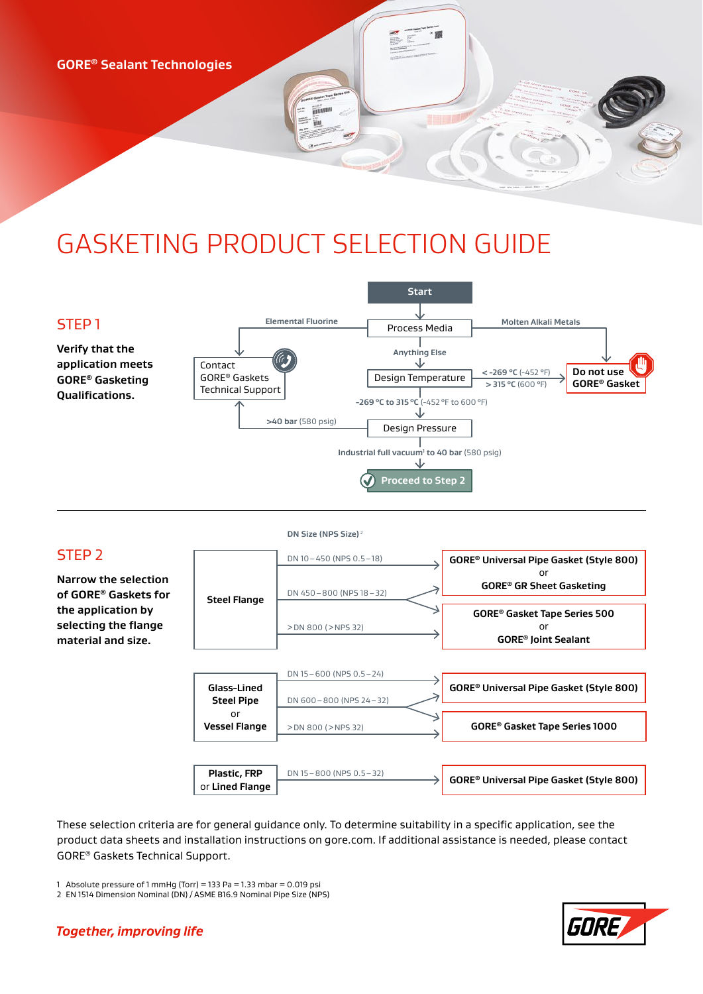**GORE® Sealant Technologies**

# GASKETING PRODUCT SELECTION GUIDE







These selection criteria are for general guidance only. To determine suitability in a specific application, see the product data sheets and installation instructions on gore.com. If additional assistance is needed, please contact GORE® Gaskets Technical Support.

1 Absolute pressure of 1 mmHg (Torr) = 133 Pa = 1.33 mbar = 0.019 psi

2 EN 1514 Dimension Nominal (DN) / ASME B16.9 Nominal Pipe Size (NPS)



#### **Together, improving life**